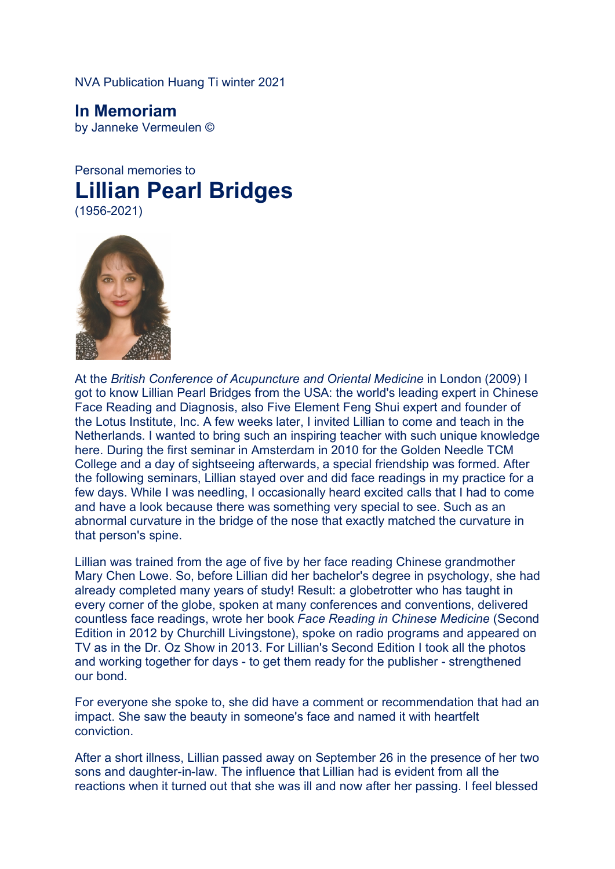NVA Publication Huang Ti winter 2021

**In Memoriam** by Janneke Vermeulen ©

Personal memories to **Lillian Pearl Bridges** (1956-2021)



At the *British Conference of Acupuncture and Oriental Medicine* in London (2009) I got to know Lillian Pearl Bridges from the USA: the world's leading expert in Chinese Face Reading and Diagnosis, also Five Element Feng Shui expert and founder of the Lotus Institute, Inc. A few weeks later, I invited Lillian to come and teach in the Netherlands. I wanted to bring such an inspiring teacher with such unique knowledge here. During the first seminar in Amsterdam in 2010 for the Golden Needle TCM College and a day of sightseeing afterwards, a special friendship was formed. After the following seminars, Lillian stayed over and did face readings in my practice for a few days. While I was needling, I occasionally heard excited calls that I had to come and have a look because there was something very special to see. Such as an abnormal curvature in the bridge of the nose that exactly matched the curvature in that person's spine.

Lillian was trained from the age of five by her face reading Chinese grandmother Mary Chen Lowe. So, before Lillian did her bachelor's degree in psychology, she had already completed many years of study! Result: a globetrotter who has taught in every corner of the globe, spoken at many conferences and conventions, delivered countless face readings, wrote her book *Face Reading in Chinese Medicine* (Second Edition in 2012 by Churchill Livingstone), spoke on radio programs and appeared on TV as in the Dr. Oz Show in 2013. For Lillian's Second Edition I took all the photos and working together for days - to get them ready for the publisher - strengthened our bond.

For everyone she spoke to, she did have a comment or recommendation that had an impact. She saw the beauty in someone's face and named it with heartfelt conviction.

After a short illness, Lillian passed away on September 26 in the presence of her two sons and daughter-in-law. The influence that Lillian had is evident from all the reactions when it turned out that she was ill and now after her passing. I feel blessed